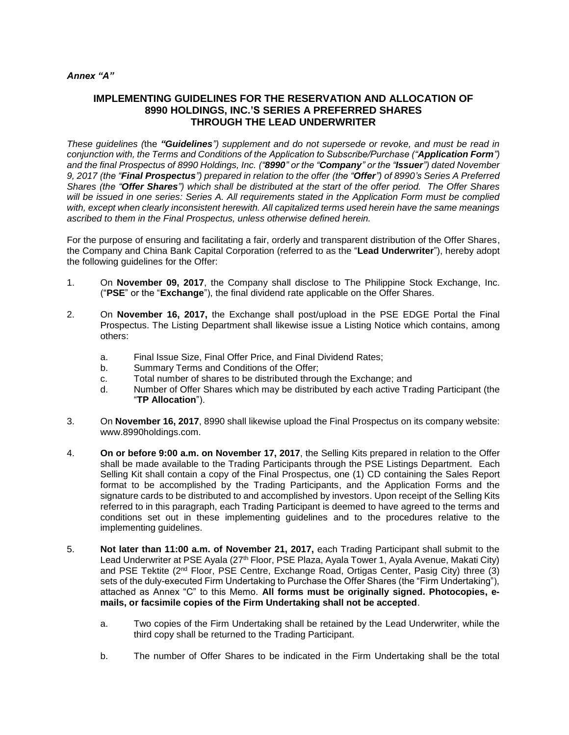### *Annex "A"*

# **IMPLEMENTING GUIDELINES FOR THE RESERVATION AND ALLOCATION OF 8990 HOLDINGS, INC.'S SERIES A PREFERRED SHARES THROUGH THE LEAD UNDERWRITER**

*These guidelines (*the *"Guidelines") supplement and do not supersede or revoke, and must be read in conjunction with, the Terms and Conditions of the Application to Subscribe/Purchase ("Application Form") and the final Prospectus of 8990 Holdings, Inc. ("8990" or the "Company" or the "Issuer") dated November 9, 2017 (the "Final Prospectus") prepared in relation to the offer (the "Offer") of 8990's Series A Preferred Shares (the "Offer Shares") which shall be distributed at the start of the offer period. The Offer Shares will be issued in one series: Series A. All requirements stated in the Application Form must be complied with, except when clearly inconsistent herewith. All capitalized terms used herein have the same meanings ascribed to them in the Final Prospectus, unless otherwise defined herein.*

For the purpose of ensuring and facilitating a fair, orderly and transparent distribution of the Offer Shares, the Company and China Bank Capital Corporation (referred to as the "**Lead Underwriter**"), hereby adopt the following guidelines for the Offer:

- 1. On **November 09, 2017**, the Company shall disclose to The Philippine Stock Exchange, Inc. ("**PSE**" or the "**Exchange**"), the final dividend rate applicable on the Offer Shares.
- 2. On **November 16, 2017,** the Exchange shall post/upload in the PSE EDGE Portal the Final Prospectus. The Listing Department shall likewise issue a Listing Notice which contains, among others:
	- a. Final Issue Size, Final Offer Price, and Final Dividend Rates;
	- b. Summary Terms and Conditions of the Offer;
	- c. Total number of shares to be distributed through the Exchange; and
	- d. Number of Offer Shares which may be distributed by each active Trading Participant (the "**TP Allocation**").
- 3. On **November 16, 2017**, 8990 shall likewise upload the Final Prospectus on its company website: www.8990holdings.com.
- 4. **On or before 9:00 a.m. on November 17, 2017**, the Selling Kits prepared in relation to the Offer shall be made available to the Trading Participants through the PSE Listings Department. Each Selling Kit shall contain a copy of the Final Prospectus, one (1) CD containing the Sales Report format to be accomplished by the Trading Participants, and the Application Forms and the signature cards to be distributed to and accomplished by investors. Upon receipt of the Selling Kits referred to in this paragraph, each Trading Participant is deemed to have agreed to the terms and conditions set out in these implementing guidelines and to the procedures relative to the implementing guidelines.
- 5. **Not later than 11:00 a.m. of November 21, 2017,** each Trading Participant shall submit to the Lead Underwriter at PSE Ayala (27<sup>th</sup> Floor, PSE Plaza, Ayala Tower 1, Ayala Avenue, Makati City) and PSE Tektite (2<sup>nd</sup> Floor, PSE Centre, Exchange Road, Ortigas Center, Pasig City) three (3) sets of the duly-executed Firm Undertaking to Purchase the Offer Shares (the "Firm Undertaking"), attached as Annex "C" to this Memo. **All forms must be originally signed. Photocopies, emails, or facsimile copies of the Firm Undertaking shall not be accepted**.
	- a. Two copies of the Firm Undertaking shall be retained by the Lead Underwriter, while the third copy shall be returned to the Trading Participant.
	- b. The number of Offer Shares to be indicated in the Firm Undertaking shall be the total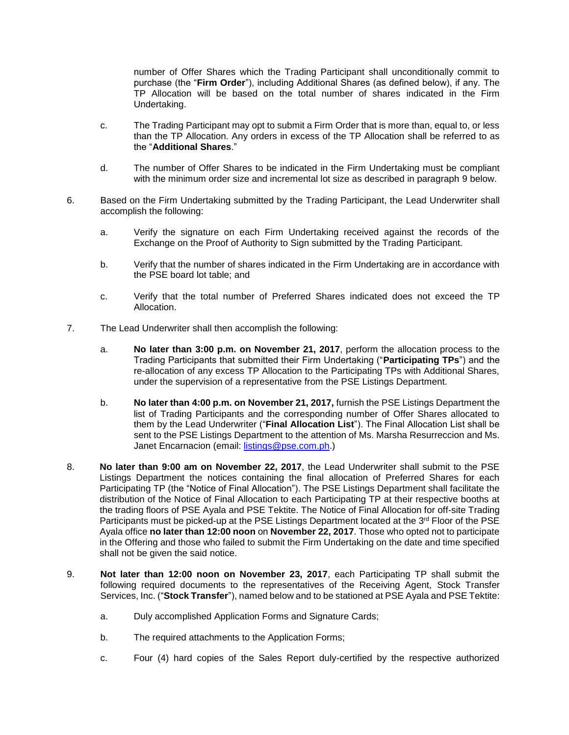number of Offer Shares which the Trading Participant shall unconditionally commit to purchase (the "**Firm Order**"), including Additional Shares (as defined below), if any. The TP Allocation will be based on the total number of shares indicated in the Firm Undertaking.

- c. The Trading Participant may opt to submit a Firm Order that is more than, equal to, or less than the TP Allocation. Any orders in excess of the TP Allocation shall be referred to as the "**Additional Shares**."
- d. The number of Offer Shares to be indicated in the Firm Undertaking must be compliant with the minimum order size and incremental lot size as described in paragraph 9 below.
- 6. Based on the Firm Undertaking submitted by the Trading Participant, the Lead Underwriter shall accomplish the following:
	- a. Verify the signature on each Firm Undertaking received against the records of the Exchange on the Proof of Authority to Sign submitted by the Trading Participant.
	- b. Verify that the number of shares indicated in the Firm Undertaking are in accordance with the PSE board lot table; and
	- c. Verify that the total number of Preferred Shares indicated does not exceed the TP Allocation.
- 7. The Lead Underwriter shall then accomplish the following:
	- a. **No later than 3:00 p.m. on November 21, 2017**, perform the allocation process to the Trading Participants that submitted their Firm Undertaking ("**Participating TPs**") and the re-allocation of any excess TP Allocation to the Participating TPs with Additional Shares, under the supervision of a representative from the PSE Listings Department.
	- b. **No later than 4:00 p.m. on November 21, 2017,** furnish the PSE Listings Department the list of Trading Participants and the corresponding number of Offer Shares allocated to them by the Lead Underwriter ("**Final Allocation List**"). The Final Allocation List shall be sent to the PSE Listings Department to the attention of Ms. Marsha Resurreccion and Ms. Janet Encarnacion (email: [listings@pse.com.ph.](mailto:listings@pse.com.ph))
- 8. **No later than 9:00 am on November 22, 2017**, the Lead Underwriter shall submit to the PSE Listings Department the notices containing the final allocation of Preferred Shares for each Participating TP (the "Notice of Final Allocation"). The PSE Listings Department shall facilitate the distribution of the Notice of Final Allocation to each Participating TP at their respective booths at the trading floors of PSE Ayala and PSE Tektite. The Notice of Final Allocation for off-site Trading Participants must be picked-up at the PSE Listings Department located at the 3<sup>rd</sup> Floor of the PSE Ayala office **no later than 12:00 noon** on **November 22, 2017**. Those who opted not to participate in the Offering and those who failed to submit the Firm Undertaking on the date and time specified shall not be given the said notice.
- 9. **Not later than 12:00 noon on November 23, 2017**, each Participating TP shall submit the following required documents to the representatives of the Receiving Agent, Stock Transfer Services, Inc. ("**Stock Transfer**"), named below and to be stationed at PSE Ayala and PSE Tektite:
	- a. Duly accomplished Application Forms and Signature Cards;
	- b. The required attachments to the Application Forms;
	- c. Four (4) hard copies of the Sales Report duly-certified by the respective authorized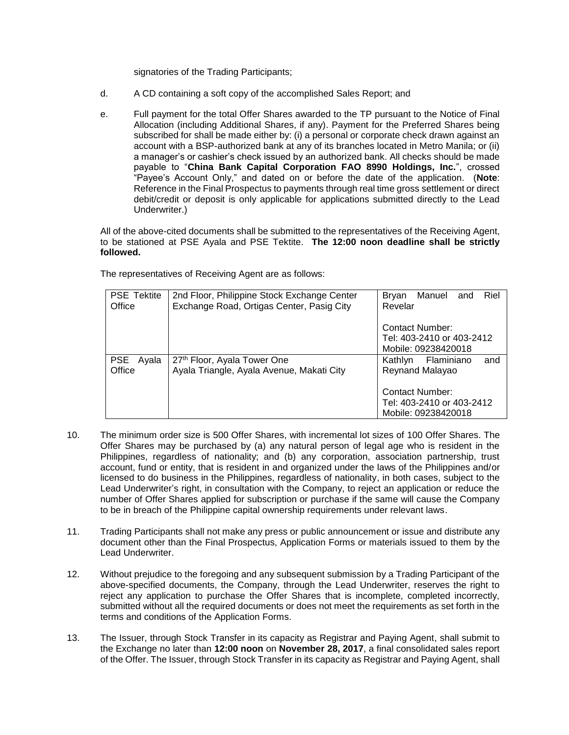signatories of the Trading Participants;

- d. A CD containing a soft copy of the accomplished Sales Report; and
- e. Full payment for the total Offer Shares awarded to the TP pursuant to the Notice of Final Allocation (including Additional Shares, if any). Payment for the Preferred Shares being subscribed for shall be made either by: (i) a personal or corporate check drawn against an account with a BSP-authorized bank at any of its branches located in Metro Manila; or (ii) a manager's or cashier's check issued by an authorized bank. All checks should be made payable to "**China Bank Capital Corporation FAO 8990 Holdings, Inc.**", crossed "Payee's Account Only," and dated on or before the date of the application. (**Note**: Reference in the Final Prospectus to payments through real time gross settlement or direct debit/credit or deposit is only applicable for applications submitted directly to the Lead Underwriter.)

All of the above-cited documents shall be submitted to the representatives of the Receiving Agent, to be stationed at PSE Ayala and PSE Tektite. **The 12:00 noon deadline shall be strictly followed.**

| <b>PSE Tektite</b> | 2nd Floor, Philippine Stock Exchange Center | Riel<br>Manuel and<br>Bryan  |  |  |  |
|--------------------|---------------------------------------------|------------------------------|--|--|--|
| Office             | Exchange Road, Ortigas Center, Pasig City   | Revelar                      |  |  |  |
|                    |                                             |                              |  |  |  |
|                    |                                             | Contact Number:              |  |  |  |
|                    |                                             | Tel: 403-2410 or 403-2412    |  |  |  |
|                    |                                             | Mobile: 09238420018          |  |  |  |
| PSE Ayala          | 27th Floor, Ayala Tower One                 | Flaminiano<br>Kathlyn<br>and |  |  |  |
| Office             | Ayala Triangle, Ayala Avenue, Makati City   | Reynand Malayao              |  |  |  |
|                    |                                             |                              |  |  |  |
|                    |                                             | <b>Contact Number:</b>       |  |  |  |
|                    |                                             | Tel: 403-2410 or 403-2412    |  |  |  |
|                    |                                             | Mobile: 09238420018          |  |  |  |

The representatives of Receiving Agent are as follows:

- 10. The minimum order size is 500 Offer Shares, with incremental lot sizes of 100 Offer Shares. The Offer Shares may be purchased by (a) any natural person of legal age who is resident in the Philippines, regardless of nationality; and (b) any corporation, association partnership, trust account, fund or entity, that is resident in and organized under the laws of the Philippines and/or licensed to do business in the Philippines, regardless of nationality, in both cases, subject to the Lead Underwriter's right, in consultation with the Company, to reject an application or reduce the number of Offer Shares applied for subscription or purchase if the same will cause the Company to be in breach of the Philippine capital ownership requirements under relevant laws.
- 11. Trading Participants shall not make any press or public announcement or issue and distribute any document other than the Final Prospectus, Application Forms or materials issued to them by the Lead Underwriter.
- 12. Without prejudice to the foregoing and any subsequent submission by a Trading Participant of the above-specified documents, the Company, through the Lead Underwriter, reserves the right to reject any application to purchase the Offer Shares that is incomplete, completed incorrectly, submitted without all the required documents or does not meet the requirements as set forth in the terms and conditions of the Application Forms.
- 13. The Issuer, through Stock Transfer in its capacity as Registrar and Paying Agent, shall submit to the Exchange no later than **12:00 noon** on **November 28, 2017**, a final consolidated sales report of the Offer. The Issuer, through Stock Transfer in its capacity as Registrar and Paying Agent, shall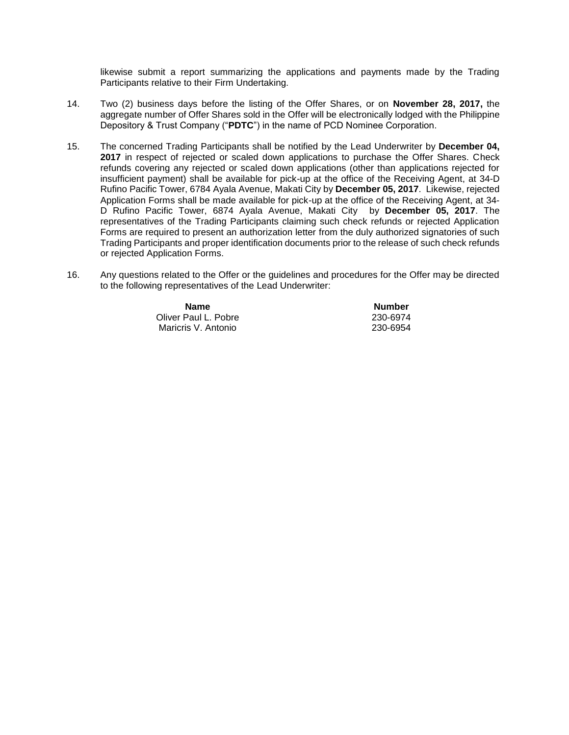likewise submit a report summarizing the applications and payments made by the Trading Participants relative to their Firm Undertaking.

- 14. Two (2) business days before the listing of the Offer Shares, or on **November 28, 2017,** the aggregate number of Offer Shares sold in the Offer will be electronically lodged with the Philippine Depository & Trust Company ("**PDTC**") in the name of PCD Nominee Corporation.
- 15. The concerned Trading Participants shall be notified by the Lead Underwriter by **December 04, 2017** in respect of rejected or scaled down applications to purchase the Offer Shares. Check refunds covering any rejected or scaled down applications (other than applications rejected for insufficient payment) shall be available for pick-up at the office of the Receiving Agent, at 34-D Rufino Pacific Tower, 6784 Ayala Avenue, Makati City by **December 05, 2017**. Likewise, rejected Application Forms shall be made available for pick-up at the office of the Receiving Agent, at 34- D Rufino Pacific Tower, 6874 Ayala Avenue, Makati City by **December 05, 2017**. The representatives of the Trading Participants claiming such check refunds or rejected Application Forms are required to present an authorization letter from the duly authorized signatories of such Trading Participants and proper identification documents prior to the release of such check refunds or rejected Application Forms.
- 16. Any questions related to the Offer or the guidelines and procedures for the Offer may be directed to the following representatives of the Lead Underwriter:

| <b>Name</b>          | <b>Number</b> |
|----------------------|---------------|
| Oliver Paul L. Pobre | 230-6974      |
| Maricris V. Antonio  | 230-6954      |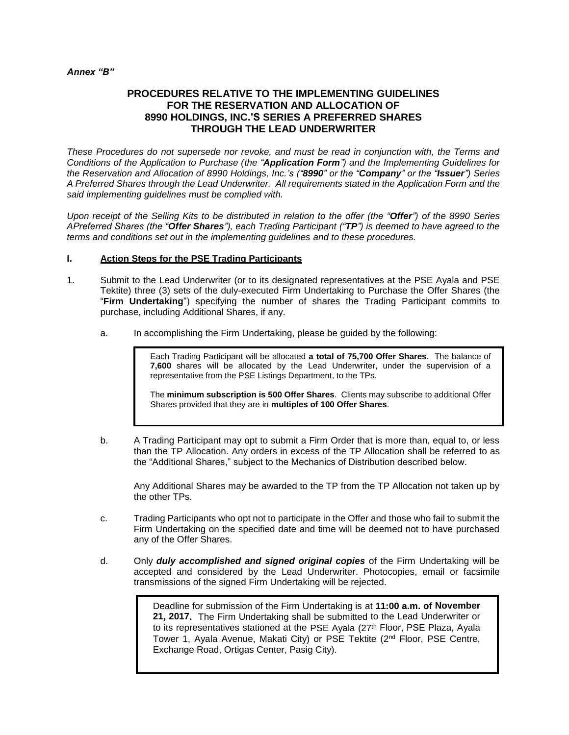### *Annex "B"*

# **PROCEDURES RELATIVE TO THE IMPLEMENTING GUIDELINES FOR THE RESERVATION AND ALLOCATION OF 8990 HOLDINGS, INC.'S SERIES A PREFERRED SHARES THROUGH THE LEAD UNDERWRITER**

*These Procedures do not supersede nor revoke, and must be read in conjunction with, the Terms and Conditions of the Application to Purchase (the "Application Form") and the Implementing Guidelines for the Reservation and Allocation of 8990 Holdings, Inc.'s ("8990" or the "Company" or the "Issuer") Series A Preferred Shares through the Lead Underwriter. All requirements stated in the Application Form and the said implementing guidelines must be complied with.*

*Upon receipt of the Selling Kits to be distributed in relation to the offer (the "Offer") of the 8990 Series APreferred Shares (the "Offer Shares"), each Trading Participant ("TP") is deemed to have agreed to the terms and conditions set out in the implementing guidelines and to these procedures.*

## **I. Action Steps for the PSE Trading Participants**

- 1. Submit to the Lead Underwriter (or to its designated representatives at the PSE Ayala and PSE Tektite) three (3) sets of the duly-executed Firm Undertaking to Purchase the Offer Shares (the "**Firm Undertaking**") specifying the number of shares the Trading Participant commits to purchase, including Additional Shares, if any.
	- a. In accomplishing the Firm Undertaking, please be guided by the following:

Each Trading Participant will be allocated **a total of 75,700 Offer Shares**. The balance of **7,600** shares will be allocated by the Lead Underwriter, under the supervision of a representative from the PSE Listings Department, to the TPs.

The **minimum subscription is 500 Offer Shares**. Clients may subscribe to additional Offer Shares provided that they are in **multiples of 100 Offer Shares**.

b. A Trading Participant may opt to submit a Firm Order that is more than, equal to, or less than the TP Allocation. Any orders in excess of the TP Allocation shall be referred to as the "Additional Shares," subject to the Mechanics of Distribution described below.

Any Additional Shares may be awarded to the TP from the TP Allocation not taken up by the other TPs.

- c. Trading Participants who opt not to participate in the Offer and those who fail to submit the Firm Undertaking on the specified date and time will be deemed not to have purchased any of the Offer Shares.
- d. Only *duly accomplished and signed original copies* of the Firm Undertaking will be accepted and considered by the Lead Underwriter. Photocopies, email or facsimile transmissions of the signed Firm Undertaking will be rejected.

Deadline for submission of the Firm Undertaking is at **11:00 a.m. of November 21, 2017.** The Firm Undertaking shall be submitted to the Lead Underwriter or to its representatives stationed at the PSE Ayala (27<sup>th</sup> Floor, PSE Plaza, Ayala Tower 1, Ayala Avenue, Makati City) or PSE Tektite (2<sup>nd</sup> Floor, PSE Centre, Exchange Road, Ortigas Center, Pasig City).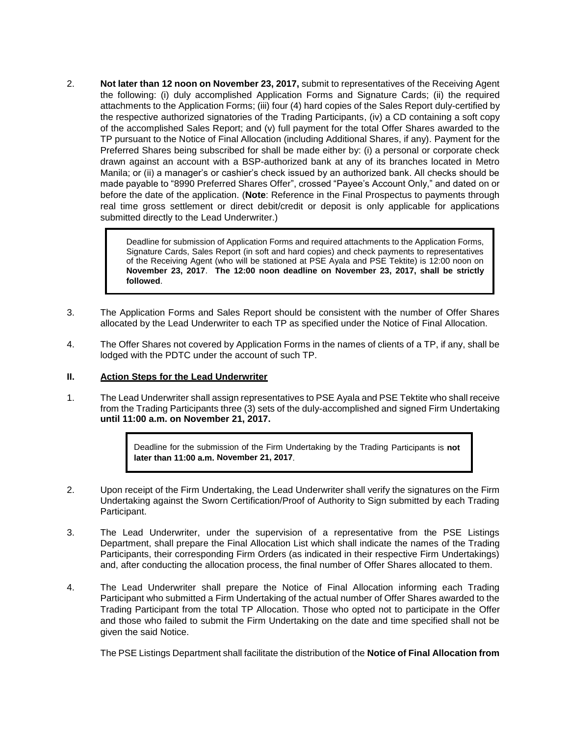2. **Not later than 12 noon on November 23, 2017,** submit to representatives of the Receiving Agent the following: (i) duly accomplished Application Forms and Signature Cards; (ii) the required attachments to the Application Forms; (iii) four (4) hard copies of the Sales Report duly-certified by the respective authorized signatories of the Trading Participants, (iv) a CD containing a soft copy of the accomplished Sales Report; and (v) full payment for the total Offer Shares awarded to the TP pursuant to the Notice of Final Allocation (including Additional Shares, if any). Payment for the Preferred Shares being subscribed for shall be made either by: (i) a personal or corporate check drawn against an account with a BSP-authorized bank at any of its branches located in Metro Manila; or (ii) a manager's or cashier's check issued by an authorized bank. All checks should be made payable to "8990 Preferred Shares Offer", crossed "Payee's Account Only," and dated on or before the date of the application. (**Note**: Reference in the Final Prospectus to payments through real time gross settlement or direct debit/credit or deposit is only applicable for applications submitted directly to the Lead Underwriter.)

> Deadline for submission of Application Forms and required attachments to the Application Forms, Signature Cards, Sales Report (in soft and hard copies) and check payments to representatives of the Receiving Agent (who will be stationed at PSE Ayala and PSE Tektite) is 12:00 noon on **November 23, 2017**. **The 12:00 noon deadline on November 23, 2017, shall be strictly followed**.

- 3. The Application Forms and Sales Report should be consistent with the number of Offer Shares allocated by the Lead Underwriter to each TP as specified under the Notice of Final Allocation.
- 4. The Offer Shares not covered by Application Forms in the names of clients of a TP, if any, shall be lodged with the PDTC under the account of such TP.

### **II. Action Steps for the Lead Underwriter**

1. The Lead Underwriter shall assign representatives to PSE Ayala and PSE Tektite who shall receive from the Trading Participants three (3) sets of the duly-accomplished and signed Firm Undertaking **until 11:00 a.m. on November 21, 2017.**

> Deadline for the submission of the Firm Undertaking by the Trading Participants is **not later than 11:00 a.m. November 21, 2017**.

- 2. Upon receipt of the Firm Undertaking, the Lead Underwriter shall verify the signatures on the Firm Undertaking against the Sworn Certification/Proof of Authority to Sign submitted by each Trading Participant.
- 3. The Lead Underwriter, under the supervision of a representative from the PSE Listings Department, shall prepare the Final Allocation List which shall indicate the names of the Trading Participants, their corresponding Firm Orders (as indicated in their respective Firm Undertakings) and, after conducting the allocation process, the final number of Offer Shares allocated to them.
- 4. The Lead Underwriter shall prepare the Notice of Final Allocation informing each Trading Participant who submitted a Firm Undertaking of the actual number of Offer Shares awarded to the Trading Participant from the total TP Allocation. Those who opted not to participate in the Offer and those who failed to submit the Firm Undertaking on the date and time specified shall not be given the said Notice.

The PSE Listings Department shall facilitate the distribution of the **Notice of Final Allocation from**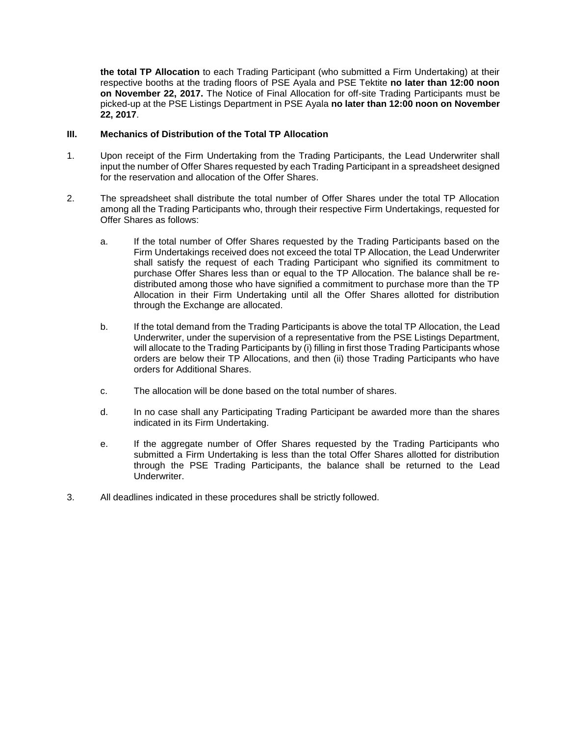**the total TP Allocation** to each Trading Participant (who submitted a Firm Undertaking) at their respective booths at the trading floors of PSE Ayala and PSE Tektite **no later than 12:00 noon on November 22, 2017.** The Notice of Final Allocation for off-site Trading Participants must be picked-up at the PSE Listings Department in PSE Ayala **no later than 12:00 noon on November 22, 2017**.

# **III. Mechanics of Distribution of the Total TP Allocation**

- 1. Upon receipt of the Firm Undertaking from the Trading Participants, the Lead Underwriter shall input the number of Offer Shares requested by each Trading Participant in a spreadsheet designed for the reservation and allocation of the Offer Shares.
- 2. The spreadsheet shall distribute the total number of Offer Shares under the total TP Allocation among all the Trading Participants who, through their respective Firm Undertakings, requested for Offer Shares as follows:
	- a. If the total number of Offer Shares requested by the Trading Participants based on the Firm Undertakings received does not exceed the total TP Allocation, the Lead Underwriter shall satisfy the request of each Trading Participant who signified its commitment to purchase Offer Shares less than or equal to the TP Allocation. The balance shall be redistributed among those who have signified a commitment to purchase more than the TP Allocation in their Firm Undertaking until all the Offer Shares allotted for distribution through the Exchange are allocated.
	- b. If the total demand from the Trading Participants is above the total TP Allocation, the Lead Underwriter, under the supervision of a representative from the PSE Listings Department, will allocate to the Trading Participants by (i) filling in first those Trading Participants whose orders are below their TP Allocations, and then (ii) those Trading Participants who have orders for Additional Shares.
	- c. The allocation will be done based on the total number of shares.
	- d. In no case shall any Participating Trading Participant be awarded more than the shares indicated in its Firm Undertaking.
	- e. If the aggregate number of Offer Shares requested by the Trading Participants who submitted a Firm Undertaking is less than the total Offer Shares allotted for distribution through the PSE Trading Participants, the balance shall be returned to the Lead Underwriter.
- 3. All deadlines indicated in these procedures shall be strictly followed.